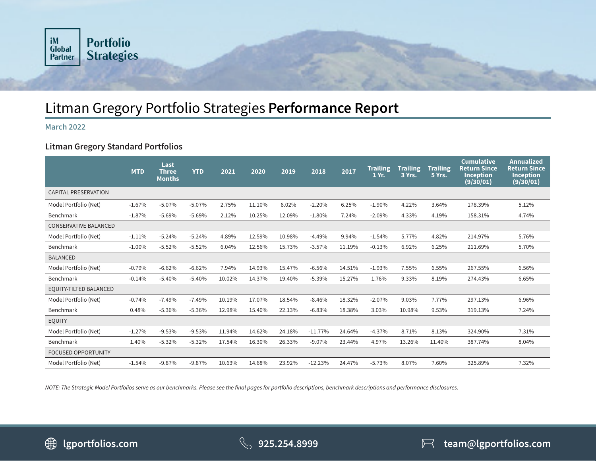

# Litman Gregory Portfolio Strategies **Performance Report**

### **March 2022**

## **Litman Gregory Standard Portfolios**

|                               | <b>MTD</b> | Last<br><b>Three</b><br><b>Months</b> | <b>YTD</b> | 2021   | 2020   | 2019   | 2018      | 2017   | <b>Trailing</b><br>1 Yr. | <b>Trailing</b><br>3 Yrs. | <b>Trailing</b><br>5 Yrs. | <b>Cumulative</b><br><b>Return Since</b><br><b>Inception</b><br>(9/30/01) | <b>Annualized</b><br><b>Return Since</b><br><b>Inception</b><br>(9/30/01) |
|-------------------------------|------------|---------------------------------------|------------|--------|--------|--------|-----------|--------|--------------------------|---------------------------|---------------------------|---------------------------------------------------------------------------|---------------------------------------------------------------------------|
| <b>CAPITAL PRESERVATION</b>   |            |                                       |            |        |        |        |           |        |                          |                           |                           |                                                                           |                                                                           |
| Model Portfolio (Net)         | $-1.67%$   | $-5.07%$                              | $-5.07%$   | 2.75%  | 11.10% | 8.02%  | $-2.20%$  | 6.25%  | $-1.90%$                 | 4.22%                     | 3.64%                     | 178.39%                                                                   | 5.12%                                                                     |
| Benchmark                     | $-1.87%$   | $-5.69%$                              | $-5.69%$   | 2.12%  | 10.25% | 12.09% | $-1.80%$  | 7.24%  | $-2.09%$                 | 4.33%                     | 4.19%                     | 158.31%                                                                   | 4.74%                                                                     |
| <b>CONSERVATIVE BALANCED</b>  |            |                                       |            |        |        |        |           |        |                          |                           |                           |                                                                           |                                                                           |
| Model Portfolio (Net)         | $-1.11%$   | $-5.24%$                              | $-5.24%$   | 4.89%  | 12.59% | 10.98% | $-4.49%$  | 9.94%  | $-1.54%$                 | 5.77%                     | 4.82%                     | 214.97%                                                                   | 5.76%                                                                     |
| Benchmark                     | $-1.00\%$  | $-5.52%$                              | $-5.52%$   | 6.04%  | 12.56% | 15.73% | $-3.57%$  | 11.19% | $-0.13%$                 | 6.92%                     | 6.25%                     | 211.69%                                                                   | 5.70%                                                                     |
| <b>BALANCED</b>               |            |                                       |            |        |        |        |           |        |                          |                           |                           |                                                                           |                                                                           |
| Model Portfolio (Net)         | $-0.79%$   | $-6.62%$                              | $-6.62%$   | 7.94%  | 14.93% | 15.47% | $-6.56%$  | 14.51% | $-1.93%$                 | 7.55%                     | 6.55%                     | 267.55%                                                                   | 6.56%                                                                     |
| Benchmark                     | $-0.14%$   | $-5.40%$                              | $-5.40%$   | 10.02% | 14.37% | 19.40% | $-5.39%$  | 15.27% | 1.76%                    | 9.33%                     | 8.19%                     | 274.43%                                                                   | 6.65%                                                                     |
| <b>EQUITY-TILTED BALANCED</b> |            |                                       |            |        |        |        |           |        |                          |                           |                           |                                                                           |                                                                           |
| Model Portfolio (Net)         | $-0.74%$   | $-7.49%$                              | $-7.49%$   | 10.19% | 17.07% | 18.54% | $-8.46%$  | 18.32% | $-2.07%$                 | 9.03%                     | 7.77%                     | 297.13%                                                                   | 6.96%                                                                     |
| Benchmark                     | 0.48%      | $-5.36%$                              | $-5.36%$   | 12.98% | 15.40% | 22.13% | $-6.83%$  | 18.38% | 3.03%                    | 10.98%                    | 9.53%                     | 319.13%                                                                   | 7.24%                                                                     |
| <b>EQUITY</b>                 |            |                                       |            |        |        |        |           |        |                          |                           |                           |                                                                           |                                                                           |
| Model Portfolio (Net)         | $-1.27%$   | $-9.53%$                              | $-9.53%$   | 11.94% | 14.62% | 24.18% | $-11.77%$ | 24.64% | $-4.37%$                 | 8.71%                     | 8.13%                     | 324.90%                                                                   | 7.31%                                                                     |
| Benchmark                     | 1.40%      | $-5.32%$                              | $-5.32%$   | 17.54% | 16.30% | 26.33% | $-9.07%$  | 23.44% | 4.97%                    | 13.26%                    | 11.40%                    | 387.74%                                                                   | 8.04%                                                                     |
| <b>FOCUSED OPPORTUNITY</b>    |            |                                       |            |        |        |        |           |        |                          |                           |                           |                                                                           |                                                                           |
| Model Portfolio (Net)         | $-1.54%$   | $-9.87%$                              | $-9.87%$   | 10.63% | 14.68% | 23.92% | $-12.23%$ | 24.47% | $-5.73%$                 | 8.07%                     | 7.60%                     | 325.89%                                                                   | 7.32%                                                                     |

*NOTE: The Strategic Model Portfolios serve as our benchmarks. Please see the final pages for portfolio descriptions, benchmark descriptions and performance disclosures.* 



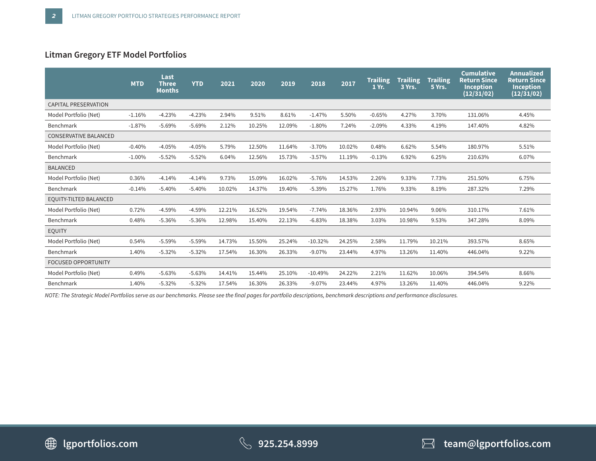# **Litman Gregory ETF Model Portfolios**

|                              | <b>MTD</b> | Last<br><b>Three</b><br><b>Months</b> | <b>YTD</b> | 2021   | 2020   | 2019   | 2018      | 2017   | <b>Trailing</b><br>1 Yr. | <b>Trailing</b><br>3 Yrs. | <b>Trailing</b><br>5 Yrs. | <b>Cumulative</b><br><b>Return Since</b><br><b>Inception</b><br>(12/31/02) | <b>Annualized</b><br><b>Return Since</b><br>Inception<br>(12/31/02) |
|------------------------------|------------|---------------------------------------|------------|--------|--------|--------|-----------|--------|--------------------------|---------------------------|---------------------------|----------------------------------------------------------------------------|---------------------------------------------------------------------|
| <b>CAPITAL PRESERVATION</b>  |            |                                       |            |        |        |        |           |        |                          |                           |                           |                                                                            |                                                                     |
| Model Portfolio (Net)        | $-1.16%$   | $-4.23%$                              | $-4.23%$   | 2.94%  | 9.51%  | 8.61%  | $-1.47%$  | 5.50%  | $-0.65%$                 | 4.27%                     | 3.70%                     | 131.06%                                                                    | 4.45%                                                               |
| Benchmark                    | $-1.87%$   | $-5.69%$                              | $-5.69%$   | 2.12%  | 10.25% | 12.09% | $-1.80%$  | 7.24%  | $-2.09%$                 | 4.33%                     | 4.19%                     | 147.40%                                                                    | 4.82%                                                               |
| <b>CONSERVATIVE BALANCED</b> |            |                                       |            |        |        |        |           |        |                          |                           |                           |                                                                            |                                                                     |
| Model Portfolio (Net)        | $-0.40%$   | $-4.05%$                              | $-4.05%$   | 5.79%  | 12.50% | 11.64% | $-3.70%$  | 10.02% | 0.48%                    | 6.62%                     | 5.54%                     | 180.97%                                                                    | 5.51%                                                               |
| Benchmark                    | $-1.00%$   | $-5.52%$                              | $-5.52%$   | 6.04%  | 12.56% | 15.73% | $-3.57%$  | 11.19% | $-0.13%$                 | 6.92%                     | 6.25%                     | 210.63%                                                                    | 6.07%                                                               |
| <b>BALANCED</b>              |            |                                       |            |        |        |        |           |        |                          |                           |                           |                                                                            |                                                                     |
| Model Portfolio (Net)        | 0.36%      | $-4.14%$                              | $-4.14%$   | 9.73%  | 15.09% | 16.02% | $-5.76%$  | 14.53% | 2.26%                    | 9.33%                     | 7.73%                     | 251.50%                                                                    | 6.75%                                                               |
| Benchmark                    | $-0.14%$   | $-5.40%$                              | $-5.40%$   | 10.02% | 14.37% | 19.40% | $-5.39%$  | 15.27% | 1.76%                    | 9.33%                     | 8.19%                     | 287.32%                                                                    | 7.29%                                                               |
| EQUITY-TILTED BALANCED       |            |                                       |            |        |        |        |           |        |                          |                           |                           |                                                                            |                                                                     |
| Model Portfolio (Net)        | 0.72%      | $-4.59%$                              | $-4.59%$   | 12.21% | 16.52% | 19.54% | $-7.74%$  | 18.36% | 2.93%                    | 10.94%                    | 9.06%                     | 310.17%                                                                    | 7.61%                                                               |
| Benchmark                    | 0.48%      | $-5.36%$                              | $-5.36%$   | 12.98% | 15.40% | 22.13% | $-6.83%$  | 18.38% | 3.03%                    | 10.98%                    | 9.53%                     | 347.28%                                                                    | 8.09%                                                               |
| <b>EQUITY</b>                |            |                                       |            |        |        |        |           |        |                          |                           |                           |                                                                            |                                                                     |
| Model Portfolio (Net)        | 0.54%      | $-5.59%$                              | $-5.59%$   | 14.73% | 15.50% | 25.24% | $-10.32%$ | 24.25% | 2.58%                    | 11.79%                    | 10.21%                    | 393.57%                                                                    | 8.65%                                                               |
| Benchmark                    | 1.40%      | $-5.32%$                              | $-5.32%$   | 17.54% | 16.30% | 26.33% | $-9.07%$  | 23.44% | 4.97%                    | 13.26%                    | 11.40%                    | 446.04%                                                                    | 9.22%                                                               |
| <b>FOCUSED OPPORTUNITY</b>   |            |                                       |            |        |        |        |           |        |                          |                           |                           |                                                                            |                                                                     |
| Model Portfolio (Net)        | 0.49%      | $-5.63%$                              | $-5.63%$   | 14.41% | 15.44% | 25.10% | $-10.49%$ | 24.22% | 2.21%                    | 11.62%                    | 10.06%                    | 394.54%                                                                    | 8.66%                                                               |
| Benchmark                    | 1.40%      | $-5.32%$                              | $-5.32%$   | 17.54% | 16.30% | 26.33% | $-9.07%$  | 23.44% | 4.97%                    | 13.26%                    | 11.40%                    | 446.04%                                                                    | 9.22%                                                               |

*NOTE: The Strategic Model Portfolios serve as our benchmarks. Please see the final pages for portfolio descriptions, benchmark descriptions and performance disclosures.* 

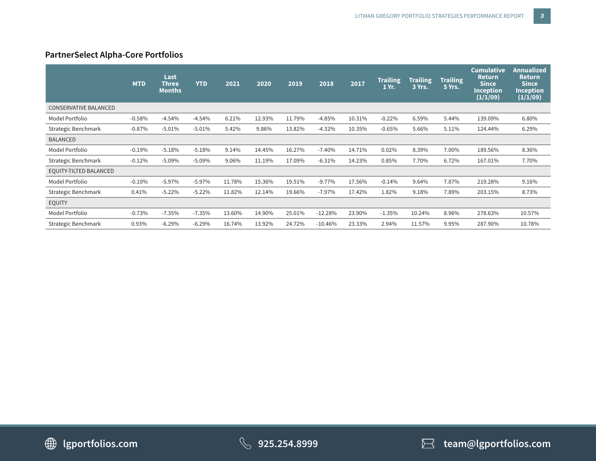# **PartnerSelect Alpha-Core Portfolios**

|                              | <b>MTD</b> | Last<br><b>Three</b><br><b>Months</b> | <b>YTD</b> | 2021   | 2020   | 2019   | 2018      | 2017   | <b>Trailing</b><br>1 Yr. | <b>Trailing</b><br>3 Yrs. | <b>Trailing</b><br>5 Yrs. | Cumulative<br><b>Return</b><br><b>Since</b><br><b>Inception</b><br>(1/1/09) | Annualized <b>'</b><br><b>Return</b><br><b>Since</b><br><b>Inception</b><br>(1/1/09) |
|------------------------------|------------|---------------------------------------|------------|--------|--------|--------|-----------|--------|--------------------------|---------------------------|---------------------------|-----------------------------------------------------------------------------|--------------------------------------------------------------------------------------|
| <b>CONSERVATIVE BALANCED</b> |            |                                       |            |        |        |        |           |        |                          |                           |                           |                                                                             |                                                                                      |
| Model Portfolio              | $-0.58%$   | $-4.54%$                              | $-4.54%$   | 6.21%  | 12.93% | 11.79% | $-4.85%$  | 10.31% | $-0.22%$                 | 6.59%                     | 5.44%                     | 139.09%                                                                     | 6.80%                                                                                |
| Strategic Benchmark          | $-0.87%$   | $-5.01%$                              | $-5.01%$   | 5.42%  | 9.86%  | 13.82% | $-4.32%$  | 10.35% | $-0.65%$                 | 5.66%                     | 5.11%                     | 124.44%                                                                     | 6.29%                                                                                |
| <b>BALANCED</b>              |            |                                       |            |        |        |        |           |        |                          |                           |                           |                                                                             |                                                                                      |
| Model Portfolio              | $-0.19%$   | $-5.18%$                              | $-5.18%$   | 9.14%  | 14.45% | 16.27% | $-7.40%$  | 14.71% | 0.02%                    | 8.39%                     | 7.00%                     | 189.56%                                                                     | 8.36%                                                                                |
| Strategic Benchmark          | $-0.12%$   | $-5.09%$                              | $-5.09%$   | 9.06%  | 11.19% | 17.09% | $-6.31%$  | 14.23% | 0.85%                    | 7.70%                     | 6.72%                     | 167.01%                                                                     | 7.70%                                                                                |
| EQUITY-TILTED BALANCED       |            |                                       |            |        |        |        |           |        |                          |                           |                           |                                                                             |                                                                                      |
| Model Portfolio              | $-0.10%$   | $-5.97\%$                             | $-5.97%$   | 11.78% | 15.36% | 19.51% | $-9.77%$  | 17.56% | $-0.14%$                 | 9.64%                     | 7.87%                     | 219.28%                                                                     | 9.16%                                                                                |
| Strategic Benchmark          | 0.41%      | $-5.22%$                              | $-5.22%$   | 11.82% | 12.14% | 19.66% | $-7.97%$  | 17.42% | 1.82%                    | 9.18%                     | 7.89%                     | 203.15%                                                                     | 8.73%                                                                                |
| <b>EQUITY</b>                |            |                                       |            |        |        |        |           |        |                          |                           |                           |                                                                             |                                                                                      |
| Model Portfolio              | $-0.73%$   | $-7.35%$                              | $-7.35%$   | 13.60% | 14.90% | 25.01% | $-12.28%$ | 23.90% | $-1.35%$                 | 10.24%                    | 8.96%                     | 278.63%                                                                     | 10.57%                                                                               |
| Strategic Benchmark          | 0.93%      | $-6.29%$                              | $-6.29%$   | 16.74% | 13.92% | 24.72% | $-10.46%$ | 23.33% | 2.94%                    | 11.57%                    | 9.95%                     | 287.90%                                                                     | 10.78%                                                                               |



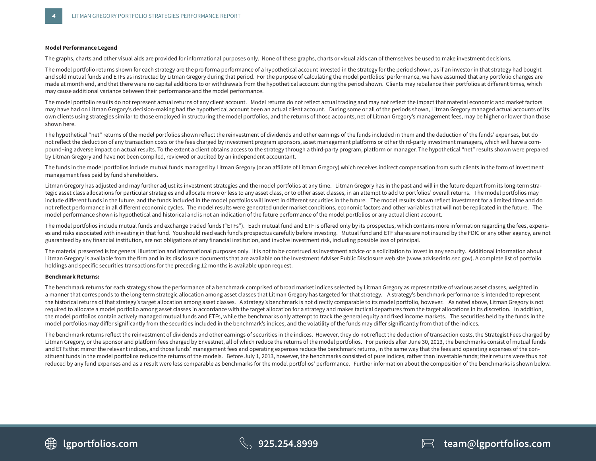#### **Model Performance Legend**

The graphs, charts and other visual aids are provided for informational purposes only. None of these graphs, charts or visual aids can of themselves be used to make investment decisions.

The model portfolio returns shown for each strategy are the pro forma performance of a hypothetical account invested in the strategy for the period shown, as if an investor in that strategy had bought and sold mutual funds and ETFs as instructed by Litman Gregory during that period. For the purpose of calculating the model portfolios' performance, we have assumed that any portfolio changes are made at month end, and that there were no capital additions to or withdrawals from the hypothetical account during the period shown. Clients may rebalance their portfolios at different times, which may cause additional variance between their performance and the model performance.

The model portfolio results do not represent actual returns of any client account. Model returns do not reflect actual trading and may not reflect the impact that material economic and market factors may have had on Litman Gregory's decision-making had the hypothetical account been an actual client account. During some or all of the periods shown, Litman Gregory managed actual accounts of its own clients using strategies similar to those employed in structuring the model portfolios, and the returns of those accounts, net of Litman Gregory's management fees, may be higher or lower than those shown here.

The hypothetical "net" returns of the model portfolios shown reflect the reinvestment of dividends and other earnings of the funds included in them and the deduction of the funds' expenses, but do not reflect the deduction of any transaction costs or the fees charged by investment program sponsors, asset management platforms or other third-party investment managers, which will have a compound¬ing adverse impact on actual results. To the extent a client obtains access to the strategy through a third-party program, platform or manager. The hypothetical "net" results shown were prepared by Litman Gregory and have not been compiled, reviewed or audited by an independent accountant.

The funds in the model portfolios include mutual funds managed by Litman Gregory (or an affiliate of Litman Gregory) which receives indirect compensation from such clients in the form of investment management fees paid by fund shareholders.

Litman Gregory has adjusted and may further adjust its investment strategies and the model portfolios at any time. Litman Gregory has in the past and will in the future depart from its long-term strategic asset class allocations for particular strategies and allocate more or less to any asset class, or to other asset classes, in an attempt to add to portfolios' overall returns. The model portfolios may include different funds in the future, and the funds included in the model portfolios will invest in different securities in the future. The model results shown reflect investment for a limited time and do not reflect performance in all different economic cycles. The model results were generated under market conditions, economic factors and other variables that will not be replicated in the future. The model performance shown is hypothetical and historical and is not an indication of the future performance of the model portfolios or any actual client account.

The model portfolios include mutual funds and exchange traded funds ("ETFs"). Each mutual fund and ETF is offered only by its prospectus, which contains more information regarding the fees, expenses and risks associated with investing in that fund. You should read each fund's prospectus carefully before investing. Mutual fund and ETF shares are not insured by the FDIC or any other agency, are not guaranteed by any financial institution, are not obligations of any financial institution, and involve investment risk, including possible loss of principal.

The material presented is for general illustration and informational purposes only. It is not to be construed as investment advice or a solicitation to invest in any security. Additional information about Litman Gregory is available from the firm and in its disclosure documents that are available on the Investment Adviser Public Disclosure web site (www.adviserinfo.sec.gov). A complete list of portfolio holdings and specific securities transactions for the preceding 12 months is available upon request.

#### **Benchmark Returns:**

The benchmark returns for each strategy show the performance of a benchmark comprised of broad market indices selected by Litman Gregory as representative of various asset classes, weighted in a manner that corresponds to the long-term strategic allocation among asset classes that Litman Gregory has targeted for that strategy. A strategy's benchmark performance is intended to represent the historical returns of that strategy's target allocation among asset classes. A strategy's benchmark is not directly comparable to its model portfolio, however. As noted above, Litman Gregory is not required to allocate a model portfolio among asset classes in accordance with the target allocation for a strategy and makes tactical departures from the target allocations in its discretion. In addition, the model portfolios contain actively managed mutual funds and ETFs, while the benchmarks only attempt to track the general equity and fixed income markets. The securities held by the funds in the model portfolios may differ significantly from the securities included in the benchmark's indices, and the volatility of the funds may differ significantly from that of the indices.

The benchmark returns reflect the reinvestment of dividends and other earnings of securities in the indices. However, they do not reflect the deduction of transaction costs, the Strategist Fees charged by Litman Gregory, or the sponsor and platform fees charged by Envestnet, all of which reduce the returns of the model portfolios. For periods after June 30, 2013, the benchmarks consist of mutual funds and ETFs that mirror the relevant indices, and those funds' management fees and operating expenses reduce the benchmark returns, in the same way that the fees and operating expenses of the constituent funds in the model portfolios reduce the returns of the models. Before July 1, 2013, however, the benchmarks consisted of pure indices, rather than investable funds; their returns were thus not reduced by any fund expenses and as a result were less comparable as benchmarks for the model portfolios' performance. Further information about the composition of the benchmarks is shown below.

∰ **LGPORTFOLIOS.COM lgportfolios.com 925.254.8999 team@lgportfolios.com**

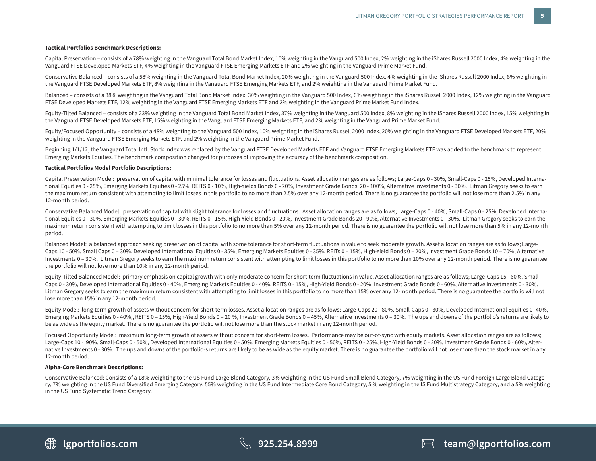### **Tactical Portfolios Benchmark Descriptions:**

Capital Preservation – consists of a 78% weighting in the Vanguard Total Bond Market Index, 10% weighting in the Vanguard 500 Index, 2% weighting in the iShares Russell 2000 Index, 4% weighting in the Vanguard FTSE Developed Markets ETF, 4% weighting in the Vanguard FTSE Emerging Markets ETF and 2% weighting in the Vanguard Prime Market Fund.

Conservative Balanced – consists of a 58% weighting in the Vanguard Total Bond Market Index, 20% weighting in the Vanguard 500 Index, 4% weighting in the iShares Russell 2000 Index, 8% weighting in the Vanguard FTSE Developed Markets ETF, 8% weighting in the Vanguard FTSE Emerging Markets ETF, and 2% weighting in the Vanguard Prime Market Fund.

Balanced – consists of a 38% weighting in the Vanguard Total Bond Market Index, 30% weighting in the Vanguard 500 Index, 6% weighting in the iShares Russell 2000 Index, 12% weighting in the Vanguard FTSE Developed Markets ETF, 12% weighting in the Vanguard FTSE Emerging Markets ETF and 2% weighting in the Vanguard Prime Market Fund Index.

Equity-Tilted Balanced – consists of a 23% weighting in the Vanguard Total Bond Market Index, 37% weighting in the Vanguard 500 Index, 8% weighting in the iShares Russell 2000 Index, 15% weighting in the Vanguard FTSE Developed Markets ETF, 15% weighting in the Vanguard FTSE Emerging Markets ETF, and 2% weighting in the Vanguard Prime Market Fund.

Equity/Focused Opportunity – consists of a 48% weighting to the Vanguard 500 Index, 10% weighting in the iShares Russell 2000 Index, 20% weighting in the Vanguard FTSE Developed Markets ETF, 20% weighting in the Vanguard FTSE Emerging Markets ETF, and 2% weighting in the Vanguard Prime Market Fund.

Beginning 1/1/12, the Vanguard Total Intl. Stock Index was replaced by the Vanguard FTSE Developed Markets ETF and Vanguard FTSE Emerging Markets ETF was added to the benchmark to represent Emerging Markets Equities. The benchmark composition changed for purposes of improving the accuracy of the benchmark composition.

#### **Tactical Portfolios Model Portfolio Descriptions:**

Capital Preservation Model: preservation of capital with minimal tolerance for losses and fluctuations. Asset allocation ranges are as follows; Large-Caps 0 - 30%, Small-Caps 0 - 25%, Developed International Equities 0 - 25%, Emerging Markets Equities 0 - 25%, REITS 0 - 10%, High-Yields Bonds 0 - 20%, Investment Grade Bonds 20 - 100%, Alternative Investments 0 - 30%. Litman Gregory seeks to earn the maximum return consistent with attempting to limit losses in this portfolio to no more than 2.5% over any 12-month period. There is no guarantee the portfolio will not lose more than 2.5% in any 12-month period.

Conservative Balanced Model: preservation of capital with slight tolerance for losses and fluctuations. Asset allocation ranges are as follows; Large-Caps 0 - 40%, Small-Caps 0 - 25%, Developed International Equities 0 - 30%, Emerging Markets Equities 0 - 30%, REITS 0 - 15%, High-Yield Bonds 0 - 20%, Investment Grade Bonds 20 - 90%, Alternative Investments 0 - 30%. Litman Gregory seeks to earn the maximum return consistent with attempting to limit losses in this portfolio to no more than 5% over any 12-month period. There is no guarantee the portfolio will not lose more than 5% in any 12-month period.

Balanced Model: a balanced approach seeking preservation of capital with some tolerance for short-term fluctuations in value to seek moderate growth. Asset allocation ranges are as follows; Large-Caps 10 - 50%, Small Caps 0 - 30%, Developed International Equities 0 - 35%, Emerging Markets Equities 0 - 35%, REITs 0 - 15%, High-Yield Bonds 0 - 20%, Investment Grade Bonds 10 - 70%, Alternative Investments 0 – 30%. Litman Gregory seeks to earn the maximum return consistent with attempting to limit losses in this portfolio to no more than 10% over any 12-month period. There is no guarantee the portfolio will not lose more than 10% in any 12-month period.

Equity-Tilted Balanced Model: primary emphasis on capital growth with only moderate concern for short-term fluctuations in value. Asset allocation ranges are as follows; Large-Caps 15 - 60%, Small-Caps 0 - 30%, Developed International Equities 0 - 40%, Emerging Markets Equities 0 - 40%, REITS 0 - 15%, High-Yield Bonds 0 - 20%, Investment Grade Bonds 0 - 60%, Alternative Investments 0 - 30%. Litman Gregory seeks to earn the maximum return consistent with attempting to limit losses in this portfolio to no more than 15% over any 12-month period. There is no guarantee the portfolio will not lose more than 15% in any 12-month period.

Equity Model: long-term growth of assets without concern for short-term losses. Asset allocation ranges are as follows; Large-Caps 20 - 80%, Small-Caps 0 - 30%, Developed International Equities 0 -40%, Emerging Markets Equities 0 - 40%,, REITS 0 – 15%, High-Yield Bonds 0 – 20 %, Investment Grade Bonds 0 – 45%, Alternative Investments 0 – 30%. The ups and downs of the portfolio's returns are likely to be as wide as the equity market. There is no guarantee the portfolio will not lose more than the stock market in any 12-month period.

Focused Opportunity Model: maximum long-term growth of assets without concern for short-term losses. Performance may be out-of-sync with equity markets. Asset allocation ranges are as follows; Large-Caps 10 - 90%, Small-Caps 0 - 50%, Developed International Equities 0 - 50%, Emerging Markets Equities 0 - 50%, REITS 0 - 25%, High-Yield Bonds 0 - 20%, Investment Grade Bonds 0 - 60%, Alternative Investments 0 - 30%. The ups and downs of the portfolio-s returns are likely to be as wide as the equity market. There is no guarantee the portfolio will not lose more than the stock market in any 12-month period.

### **Alpha-Core Benchmark Descriptions:**

Conservative Balanced: Consists of a 18% weighting to the US Fund Large Blend Category, 3% weighting in the US Fund Small Blend Category, 7% weighting in the US Fund Foreign Large Blend Category, 7% weighting in the US Fund Diversified Emerging Category, 55% weighting in the US Fund Intermediate Core Bond Category, 5 % weighting in the IS Fund Multistrategy Category, and a 5% weighting in the US Fund Systematic Trend Category.